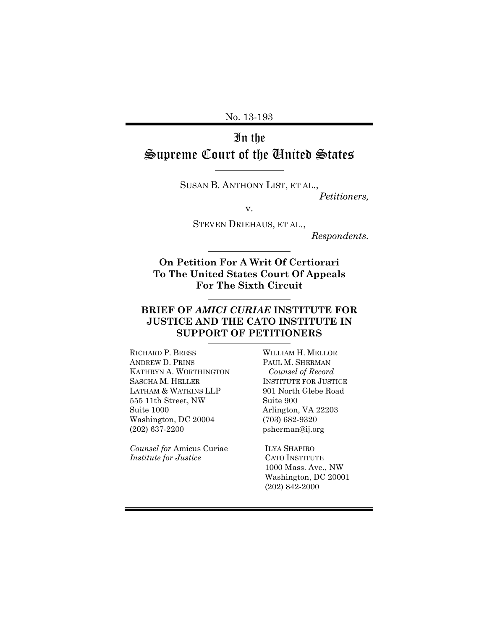No. 13-193

# In the Supreme Court of the United States

l

SUSAN B. ANTHONY LIST, ET AL.,

*Petitioners,*

v.

STEVEN DRIEHAUS, ET AL.,

*Respondents.*

**On Petition For A Writ Of Certiorari To The United States Court Of Appeals For The Sixth Circuit**

### **BRIEF OF** *AMICI CURIAE* **INSTITUTE FOR JUSTICE AND THE CATO INSTITUTE IN SUPPORT OF PETITIONERS**

RICHARD P. BRESS ANDREW D. PRINS KATHRYN A. WORTHINGTON SASCHA M. HELLER LATHAM & WATKINS LLP 555 11th Street, NW Suite 1000 Washington, DC 20004 (202) 637-2200

*Counsel for* Amicus Curiae *Institute for Justice*

WILLIAM H. MELLOR PAUL M. SHERMAN *Counsel of Record* INSTITUTE FOR JUSTICE 901 North Glebe Road Suite 900 Arlington, VA 22203 (703) 682-9320 psherman@ij.org

ILYA SHAPIRO CATO INSTITUTE 1000 Mass. Ave., NW Washington, DC 20001 (202) 842-2000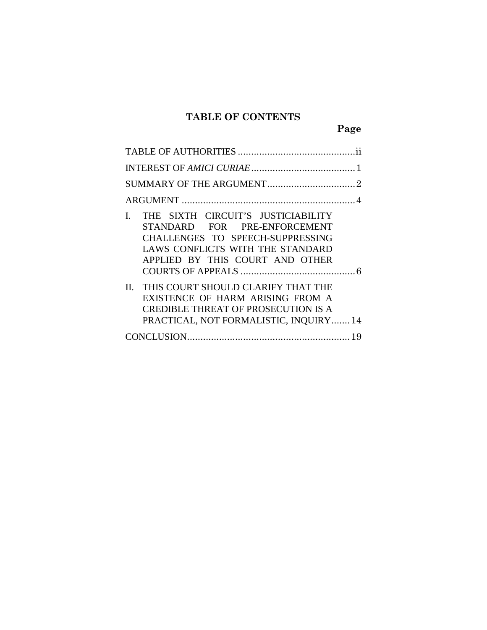## **TABLE OF CONTENTS**

**Page**

| THE SIXTH CIRCUIT'S JUSTICIABILITY<br>L<br>STANDARD FOR PRE-ENFORCEMENT<br>CHALLENGES TO SPEECH-SUPPRESSING<br>LAWS CONFLICTS WITH THE STANDARD<br>APPLIED BY THIS COURT AND OTHER |  |  |  |  |
|------------------------------------------------------------------------------------------------------------------------------------------------------------------------------------|--|--|--|--|
| THIS COURT SHOULD CLARIFY THAT THE<br>$\Pi$<br>EXISTENCE OF HARM ARISING FROM A<br><b>CREDIBLE THREAT OF PROSECUTION IS A</b><br>PRACTICAL, NOT FORMALISTIC, INQUIRY 14            |  |  |  |  |
|                                                                                                                                                                                    |  |  |  |  |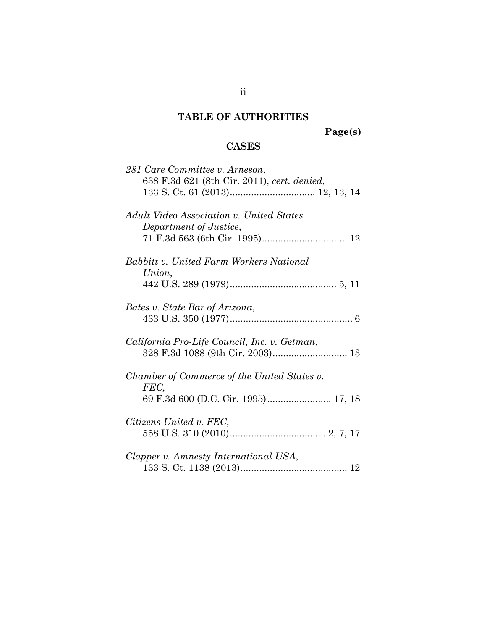## <span id="page-2-0"></span>**TABLE OF AUTHORITIES**

**Page(s)**

## **CASES**

| 281 Care Committee v. Arneson,                 |
|------------------------------------------------|
| 638 F.3d 621 (8th Cir. 2011), cert. denied,    |
|                                                |
|                                                |
|                                                |
| Adult Video Association v. United States       |
| Department of Justice,                         |
|                                                |
| <b>Babbitt v. United Farm Workers National</b> |
|                                                |
| Union,                                         |
|                                                |
|                                                |
| Bates v. State Bar of Arizona,                 |
|                                                |
|                                                |
| California Pro-Life Council, Inc. v. Getman,   |
|                                                |
|                                                |
|                                                |
| Chamber of Commerce of the United States v.    |
| FEC,                                           |
| 69 F.3d 600 (D.C. Cir. 1995) 17, 18            |
|                                                |
| Citizens United v. FEC,                        |
|                                                |
|                                                |
| Clapper v. Amnesty International USA,          |
|                                                |
|                                                |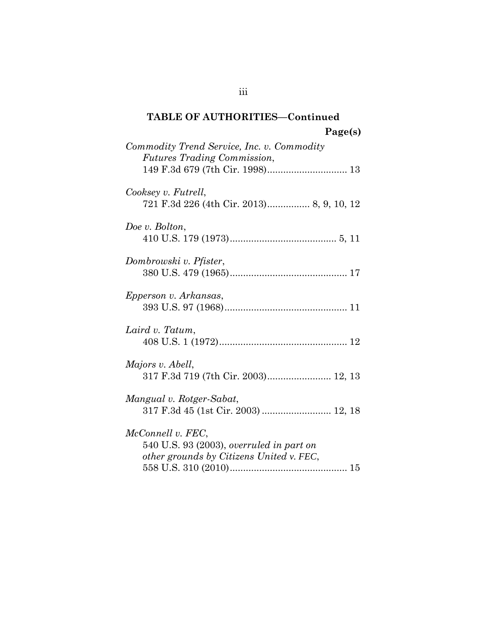## **TABLE OF AUTHORITIES—Continued Page(s)**

| Commodity Trend Service, Inc. v. Commodity<br><i>Futures Trading Commission,</i>                          |
|-----------------------------------------------------------------------------------------------------------|
| Cooksey v. Futrell,<br>721 F.3d 226 (4th Cir. 2013) 8, 9, 10, 12                                          |
| Doe v. Bolton,                                                                                            |
| Dombrowski v. Pfister,                                                                                    |
| Epperson v. Arkansas,                                                                                     |
| Laird v. Tatum,                                                                                           |
| Majors v. Abell,<br>317 F.3d 719 (7th Cir. 2003) 12, 13                                                   |
| Mangual v. Rotger-Sabat,                                                                                  |
| McConnell v. FEC,<br>540 U.S. 93 (2003), overruled in part on<br>other grounds by Citizens United v. FEC, |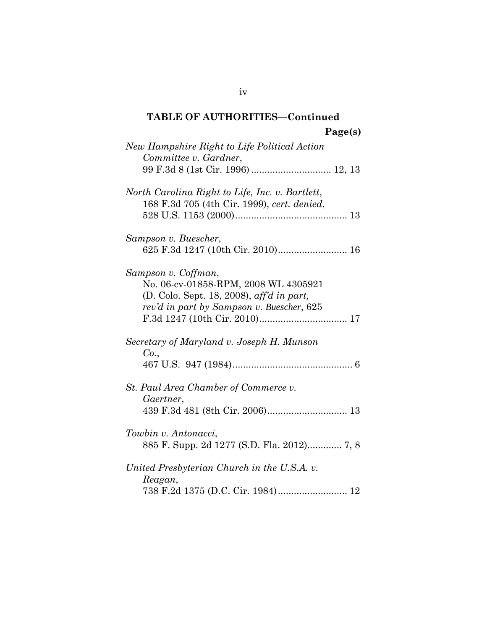## **TABLE OF AUTHORITIES—Continued Page(s)**

| New Hampshire Right to Life Political Action<br>Committee v. Gardner,<br>99 F.3d 8 (1st Cir. 1996)  12, 13                                            |  |
|-------------------------------------------------------------------------------------------------------------------------------------------------------|--|
| North Carolina Right to Life, Inc. v. Bartlett,<br>168 F.3d 705 (4th Cir. 1999), cert. denied,                                                        |  |
| Sampson v. Buescher,<br>625 F.3d 1247 (10th Cir. 2010) 16                                                                                             |  |
| Sampson v. Coffman,<br>No. 06-cv-01858-RPM, 2008 WL 4305921<br>(D. Colo. Sept. 18, 2008), aff'd in part,<br>rev'd in part by Sampson v. Buescher, 625 |  |
| Secretary of Maryland v. Joseph H. Munson<br>Co.,                                                                                                     |  |
| St. Paul Area Chamber of Commerce v.<br>Gaertner,                                                                                                     |  |
| Towbin v. Antonacci,                                                                                                                                  |  |
| United Presbyterian Church in the U.S.A. v.<br>Reagan,<br>738 F.2d 1375 (D.C. Cir. 1984) 12                                                           |  |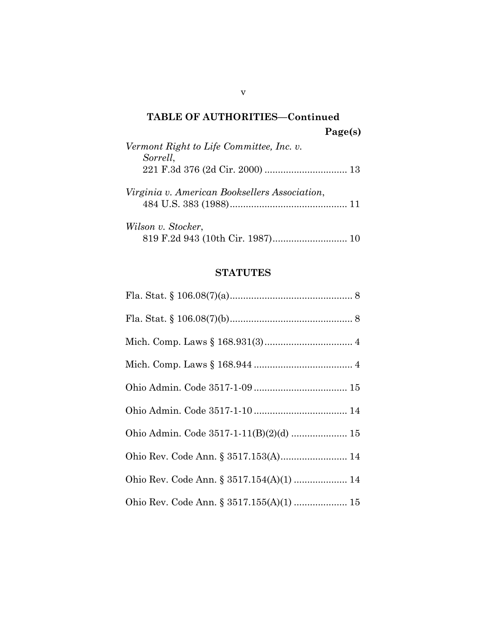# **TABLE OF AUTHORITIES—Continued Page(s)** *Vermont Right to Life Committee, Inc. v. Sorrell*, 221 F.3d 376 (2d Cir. 2000) ............................... 13 *Virginia v. American Booksellers Association*, 484 U.S. 383 (1988)............................................ 11

| Wilson v. Stocker, |  |  |
|--------------------|--|--|
|                    |  |  |

## **STATUTES**

| Ohio Admin. Code 3517-1-11(B)(2)(d)  15  |
|------------------------------------------|
| Ohio Rev. Code Ann. § 3517.153(A) 14     |
| Ohio Rev. Code Ann. § 3517.154(A)(1)  14 |
| Ohio Rev. Code Ann. § 3517.155(A)(1)  15 |

v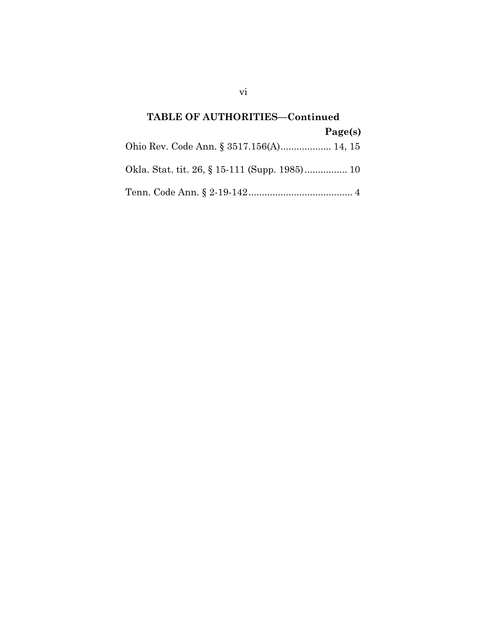# **TABLE OF AUTHORITIES—Continued Page(s)** Ohio Rev. Code Ann. § 3517.156(A)................... 14, 15 Okla. Stat. tit. 26, § 15-111 (Supp. 1985)................ 10 Tenn. Code Ann. § 2-19-142....................................... 4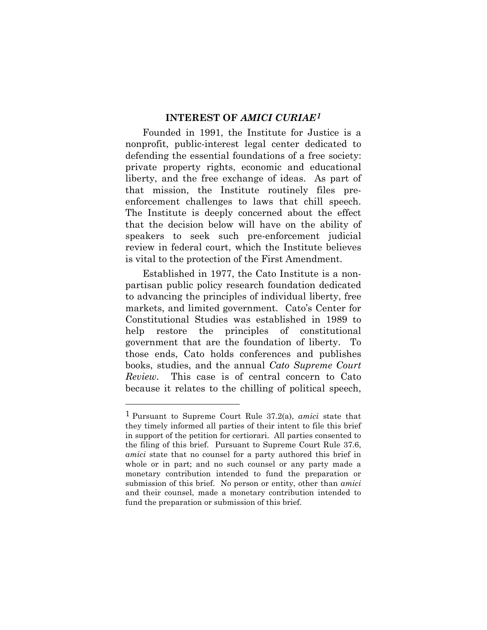#### **INTEREST OF** *AMICI CURIAE[1](#page-7-1)*

<span id="page-7-0"></span>Founded in 1991, the Institute for Justice is a nonprofit, public-interest legal center dedicated to defending the essential foundations of a free society: private property rights, economic and educational liberty, and the free exchange of ideas. As part of that mission, the Institute routinely files preenforcement challenges to laws that chill speech. The Institute is deeply concerned about the effect that the decision below will have on the ability of speakers to seek such pre-enforcement judicial review in federal court, which the Institute believes is vital to the protection of the First Amendment.

Established in 1977, the Cato Institute is a nonpartisan public policy research foundation dedicated to advancing the principles of individual liberty, free markets, and limited government. Cato's Center for Constitutional Studies was established in 1989 to help restore the principles of constitutional government that are the foundation of liberty. To those ends, Cato holds conferences and publishes books, studies, and the annual *Cato Supreme Court Review*. This case is of central concern to Cato because it relates to the chilling of political speech,

 $\overline{a}$ 

<span id="page-7-1"></span><sup>1</sup> Pursuant to Supreme Court Rule 37.2(a), *amici* state that they timely informed all parties of their intent to file this brief in support of the petition for certiorari. All parties consented to the filing of this brief. Pursuant to Supreme Court Rule 37.6, *amici* state that no counsel for a party authored this brief in whole or in part; and no such counsel or any party made a monetary contribution intended to fund the preparation or submission of this brief. No person or entity, other than *amici*  and their counsel, made a monetary contribution intended to fund the preparation or submission of this brief.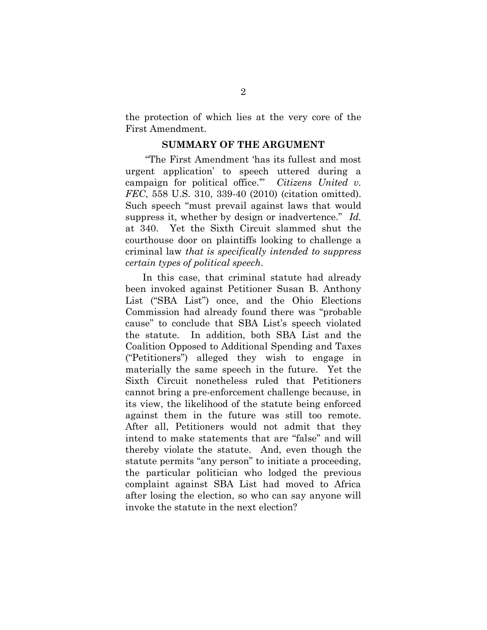the protection of which lies at the very core of the First Amendment.

#### **SUMMARY OF THE ARGUMENT**

<span id="page-8-0"></span>"The First Amendment 'has its fullest and most urgent application' to speech uttered during a campaign for political office.'" *Citizens United v. FEC*, 558 U.S. 310, 339-40 (2010) (citation omitted). Such speech "must prevail against laws that would suppress it, whether by design or inadvertence." *Id.* at 340. Yet the Sixth Circuit slammed shut the courthouse door on plaintiffs looking to challenge a criminal law *that is specifically intended to suppress certain types of political speech*.

In this case, that criminal statute had already been invoked against Petitioner Susan B. Anthony List ("SBA List") once, and the Ohio Elections Commission had already found there was "probable cause" to conclude that SBA List's speech violated the statute. In addition, both SBA List and the Coalition Opposed to Additional Spending and Taxes ("Petitioners") alleged they wish to engage in materially the same speech in the future. Yet the Sixth Circuit nonetheless ruled that Petitioners cannot bring a pre-enforcement challenge because, in its view, the likelihood of the statute being enforced against them in the future was still too remote. After all, Petitioners would not admit that they intend to make statements that are "false" and will thereby violate the statute. And, even though the statute permits "any person" to initiate a proceeding, the particular politician who lodged the previous complaint against SBA List had moved to Africa after losing the election, so who can say anyone will invoke the statute in the next election?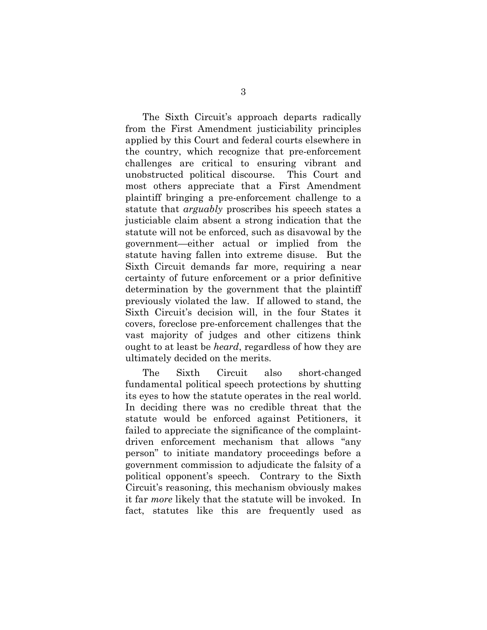The Sixth Circuit's approach departs radically from the First Amendment justiciability principles applied by this Court and federal courts elsewhere in the country, which recognize that pre-enforcement challenges are critical to ensuring vibrant and unobstructed political discourse. This Court and most others appreciate that a First Amendment plaintiff bringing a pre-enforcement challenge to a statute that *arguably* proscribes his speech states a justiciable claim absent a strong indication that the statute will not be enforced, such as disavowal by the government—either actual or implied from the statute having fallen into extreme disuse. But the Sixth Circuit demands far more, requiring a near certainty of future enforcement or a prior definitive determination by the government that the plaintiff previously violated the law. If allowed to stand, the Sixth Circuit's decision will, in the four States it covers, foreclose pre-enforcement challenges that the vast majority of judges and other citizens think ought to at least be *heard*, regardless of how they are ultimately decided on the merits.

The Sixth Circuit also short-changed fundamental political speech protections by shutting its eyes to how the statute operates in the real world. In deciding there was no credible threat that the statute would be enforced against Petitioners, it failed to appreciate the significance of the complaintdriven enforcement mechanism that allows "any person" to initiate mandatory proceedings before a government commission to adjudicate the falsity of a political opponent's speech. Contrary to the Sixth Circuit's reasoning, this mechanism obviously makes it far *more* likely that the statute will be invoked. In fact, statutes like this are frequently used as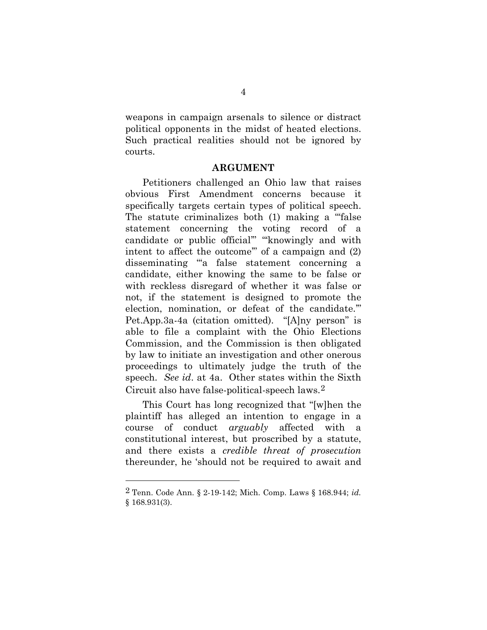weapons in campaign arsenals to silence or distract political opponents in the midst of heated elections. Such practical realities should not be ignored by courts.

#### **ARGUMENT**

<span id="page-10-0"></span>Petitioners challenged an Ohio law that raises obvious First Amendment concerns because it specifically targets certain types of political speech. The statute criminalizes both (1) making a "false statement concerning the voting record of a candidate or public official" "knowingly and with intent to affect the outcome'" of a campaign and (2) disseminating "'a false statement concerning a candidate, either knowing the same to be false or with reckless disregard of whether it was false or not, if the statement is designed to promote the election, nomination, or defeat of the candidate.'" Pet.App.3a-4a (citation omitted). "[A]ny person" is able to file a complaint with the Ohio Elections Commission, and the Commission is then obligated by law to initiate an investigation and other onerous proceedings to ultimately judge the truth of the speech. *See id*. at 4a. Other states within the Sixth Circuit also have false-political-speech laws.[2](#page-10-1) 

This Court has long recognized that "[w]hen the plaintiff has alleged an intention to engage in a course of conduct *arguably* affected with a constitutional interest, but proscribed by a statute, and there exists a *credible threat of prosecution*  thereunder, he 'should not be required to await and

 $\overline{a}$ 

<span id="page-10-1"></span><sup>2</sup> Tenn. Code Ann. § 2-19-142; Mich. Comp. Laws § 168.944; *id.* § 168.931(3).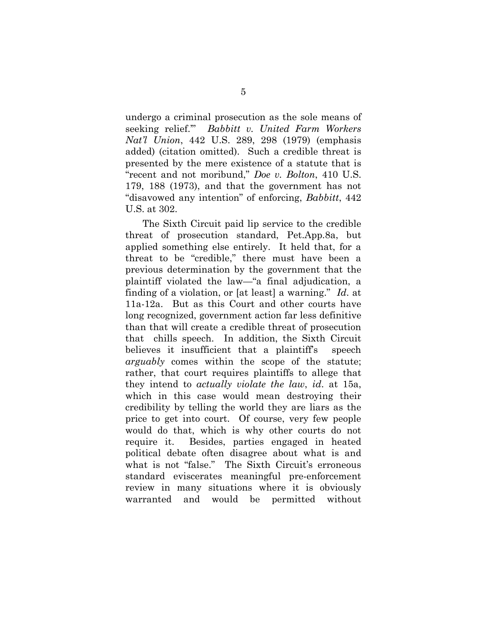undergo a criminal prosecution as the sole means of seeking relief.'" *Babbitt v. United Farm Workers Nat'l Union*, 442 U.S. 289, 298 (1979) (emphasis added) (citation omitted). Such a credible threat is presented by the mere existence of a statute that is "recent and not moribund," *Doe v. Bolton*, 410 U.S. 179, 188 (1973), and that the government has not "disavowed any intention" of enforcing, *Babbitt*, 442 U.S. at 302.

The Sixth Circuit paid lip service to the credible threat of prosecution standard, Pet.App.8a, but applied something else entirely. It held that, for a threat to be "credible," there must have been a previous determination by the government that the plaintiff violated the law—"a final adjudication, a finding of a violation, or [at least] a warning." *Id*. at 11a-12a. But as this Court and other courts have long recognized, government action far less definitive than that will create a credible threat of prosecution that chills speech. In addition, the Sixth Circuit believes it insufficient that a plaintiff's speech *arguably* comes within the scope of the statute; rather, that court requires plaintiffs to allege that they intend to *actually violate the law*, *id*. at 15a, which in this case would mean destroying their credibility by telling the world they are liars as the price to get into court. Of course, very few people would do that, which is why other courts do not require it. Besides, parties engaged in heated political debate often disagree about what is and what is not "false." The Sixth Circuit's erroneous standard eviscerates meaningful pre-enforcement review in many situations where it is obviously warranted and would be permitted without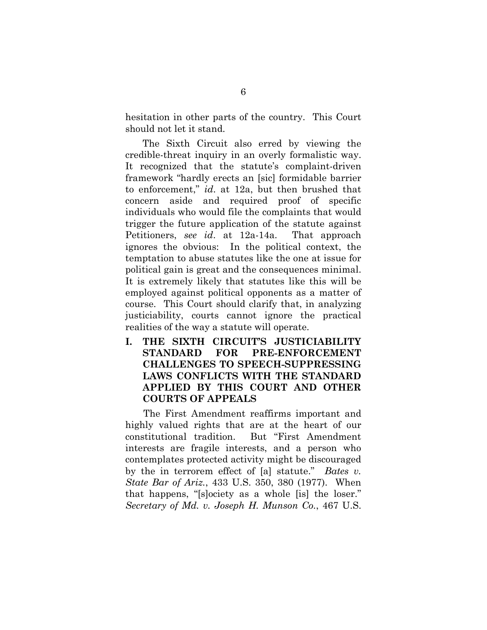hesitation in other parts of the country. This Court should not let it stand.

The Sixth Circuit also erred by viewing the credible-threat inquiry in an overly formalistic way. It recognized that the statute's complaint-driven framework "hardly erects an [sic] formidable barrier to enforcement," *id*. at 12a, but then brushed that concern aside and required proof of specific individuals who would file the complaints that would trigger the future application of the statute against Petitioners, *see id*. at 12a-14a. That approach ignores the obvious: In the political context, the temptation to abuse statutes like the one at issue for political gain is great and the consequences minimal. It is extremely likely that statutes like this will be employed against political opponents as a matter of course. This Court should clarify that, in analyzing justiciability, courts cannot ignore the practical realities of the way a statute will operate.

<span id="page-12-0"></span>**I. THE SIXTH CIRCUIT'S JUSTICIABILITY STANDARD FOR PRE-ENFORCEMENT CHALLENGES TO SPEECH-SUPPRESSING LAWS CONFLICTS WITH THE STANDARD APPLIED BY THIS COURT AND OTHER COURTS OF APPEALS**

The First Amendment reaffirms important and highly valued rights that are at the heart of our constitutional tradition. But "First Amendment interests are fragile interests, and a person who contemplates protected activity might be discouraged by the in terrorem effect of [a] statute." *Bates v. State Bar of Ariz.*, 433 U.S. 350, 380 (1977). When that happens, "[s]ociety as a whole [is] the loser." *Secretary of Md. v. Joseph H. Munson Co.*, 467 U.S.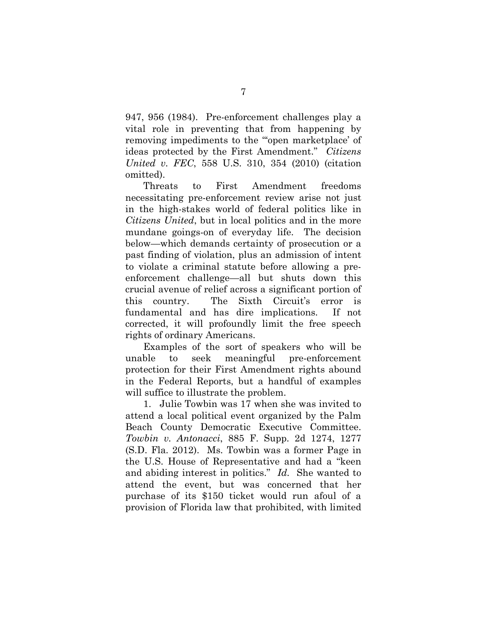947, 956 (1984). Pre-enforcement challenges play a vital role in preventing that from happening by removing impediments to the "'open marketplace' of ideas protected by the First Amendment." *Citizens United v. FEC*, 558 U.S. 310, 354 (2010) (citation omitted).

Threats to First Amendment freedoms necessitating pre-enforcement review arise not just in the high-stakes world of federal politics like in *Citizens United*, but in local politics and in the more mundane goings-on of everyday life. The decision below—which demands certainty of prosecution or a past finding of violation, plus an admission of intent to violate a criminal statute before allowing a preenforcement challenge—all but shuts down this crucial avenue of relief across a significant portion of this country. The Sixth Circuit's error is fundamental and has dire implications. If not corrected, it will profoundly limit the free speech rights of ordinary Americans.

Examples of the sort of speakers who will be unable to seek meaningful pre-enforcement protection for their First Amendment rights abound in the Federal Reports, but a handful of examples will suffice to illustrate the problem.

1. Julie Towbin was 17 when she was invited to attend a local political event organized by the Palm Beach County Democratic Executive Committee. *Towbin v. Antonacci*, 885 F. Supp. 2d 1274, 1277 (S.D. Fla. 2012). Ms. Towbin was a former Page in the U.S. House of Representative and had a "keen and abiding interest in politics." *Id.* She wanted to attend the event, but was concerned that her purchase of its \$150 ticket would run afoul of a provision of Florida law that prohibited, with limited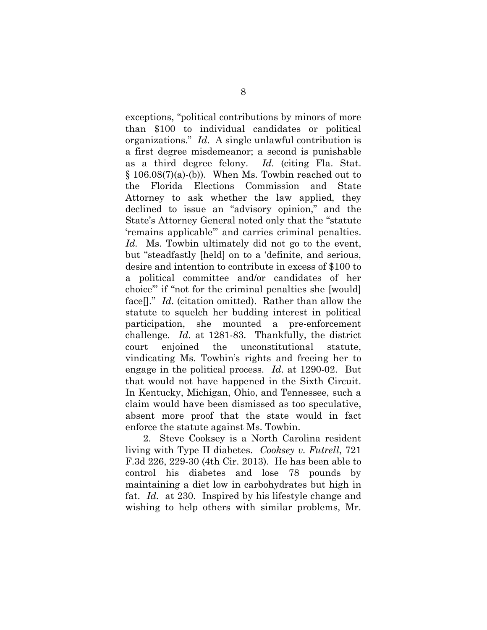exceptions, "political contributions by minors of more than \$100 to individual candidates or political organizations." *Id*. A single unlawful contribution is a first degree misdemeanor; a second is punishable as a third degree felony. *Id.* (citing Fla. Stat.  $§ 106.08(7)(a)-(b)$ . When Ms. Towbin reached out to the Florida Elections Commission and State Attorney to ask whether the law applied, they declined to issue an "advisory opinion," and the State's Attorney General noted only that the "statute 'remains applicable'" and carries criminal penalties. *Id.* Ms. Towbin ultimately did not go to the event, but "steadfastly [held] on to a 'definite, and serious, desire and intention to contribute in excess of \$100 to a political committee and/or candidates of her choice'" if "not for the criminal penalties she [would] face[]." *Id*. (citation omitted). Rather than allow the statute to squelch her budding interest in political participation, she mounted a pre-enforcement challenge. *Id*. at 1281-83. Thankfully, the district court enjoined the unconstitutional statute, vindicating Ms. Towbin's rights and freeing her to engage in the political process. *Id*. at 1290-02. But that would not have happened in the Sixth Circuit. In Kentucky, Michigan, Ohio, and Tennessee, such a claim would have been dismissed as too speculative, absent more proof that the state would in fact enforce the statute against Ms. Towbin.

2. Steve Cooksey is a North Carolina resident living with Type II diabetes. *Cooksey v. Futrell*, 721 F.3d 226, 229-30 (4th Cir. 2013). He has been able to control his diabetes and lose 78 pounds by maintaining a diet low in carbohydrates but high in fat. *Id.* at 230. Inspired by his lifestyle change and wishing to help others with similar problems, Mr.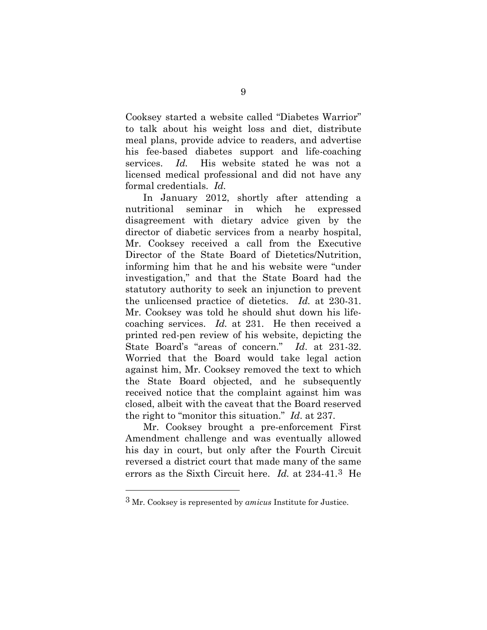Cooksey started a website called "Diabetes Warrior" to talk about his weight loss and diet, distribute meal plans, provide advice to readers, and advertise his fee-based diabetes support and life-coaching services. *Id.* His website stated he was not a licensed medical professional and did not have any formal credentials. *Id.* 

In January 2012, shortly after attending a nutritional seminar in which he expressed disagreement with dietary advice given by the director of diabetic services from a nearby hospital, Mr. Cooksey received a call from the Executive Director of the State Board of Dietetics/Nutrition, informing him that he and his website were "under investigation," and that the State Board had the statutory authority to seek an injunction to prevent the unlicensed practice of dietetics. *Id.* at 230-31. Mr. Cooksey was told he should shut down his lifecoaching services. *Id.* at 231. He then received a printed red-pen review of his website, depicting the State Board's "areas of concern." *Id*. at 231-32. Worried that the Board would take legal action against him, Mr. Cooksey removed the text to which the State Board objected, and he subsequently received notice that the complaint against him was closed, albeit with the caveat that the Board reserved the right to "monitor this situation." *Id*. at 237.

Mr. Cooksey brought a pre-enforcement First Amendment challenge and was eventually allowed his day in court, but only after the Fourth Circuit reversed a district court that made many of the same errors as the Sixth Circuit here. *Id.* at 234-41.[3](#page-15-0) He

 $\overline{a}$ 

<span id="page-15-0"></span><sup>3</sup> Mr. Cooksey is represented by *amicus* Institute for Justice.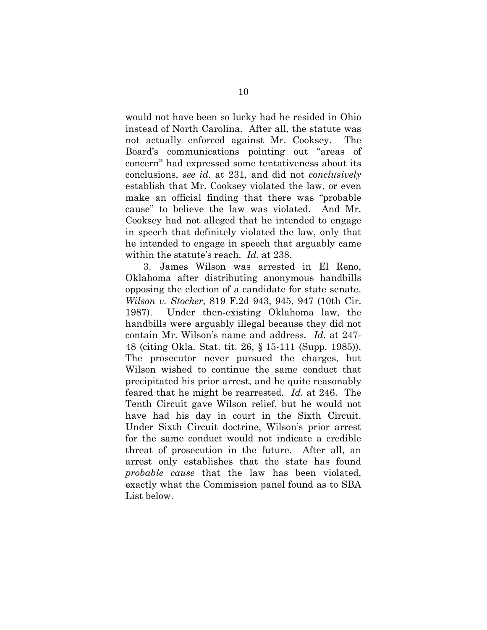would not have been so lucky had he resided in Ohio instead of North Carolina. After all, the statute was not actually enforced against Mr. Cooksey. The Board's communications pointing out "areas of concern" had expressed some tentativeness about its conclusions, *see id.* at 231, and did not *conclusively* establish that Mr. Cooksey violated the law, or even make an official finding that there was "probable cause" to believe the law was violated. And Mr. Cooksey had not alleged that he intended to engage in speech that definitely violated the law, only that he intended to engage in speech that arguably came within the statute's reach. *Id.* at 238.

3. James Wilson was arrested in El Reno, Oklahoma after distributing anonymous handbills opposing the election of a candidate for state senate. *Wilson v. Stocker*, 819 F.2d 943, 945, 947 (10th Cir. 1987). Under then-existing Oklahoma law, the handbills were arguably illegal because they did not contain Mr. Wilson's name and address. *Id.* at 247- 48 (citing Okla. Stat. tit. 26, § 15-111 (Supp. 1985)). The prosecutor never pursued the charges, but Wilson wished to continue the same conduct that precipitated his prior arrest, and he quite reasonably feared that he might be rearrested. *Id.* at 246. The Tenth Circuit gave Wilson relief, but he would not have had his day in court in the Sixth Circuit. Under Sixth Circuit doctrine, Wilson's prior arrest for the same conduct would not indicate a credible threat of prosecution in the future. After all, an arrest only establishes that the state has found *probable cause* that the law has been violated, exactly what the Commission panel found as to SBA List below.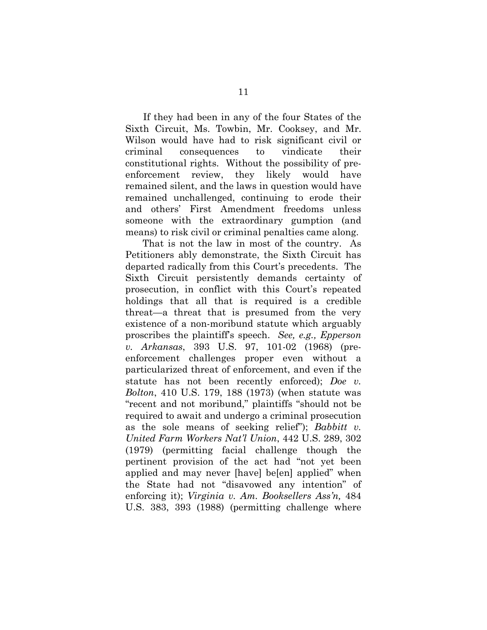If they had been in any of the four States of the Sixth Circuit, Ms. Towbin, Mr. Cooksey, and Mr. Wilson would have had to risk significant civil or criminal consequences to vindicate their constitutional rights. Without the possibility of preenforcement review, they likely would have remained silent, and the laws in question would have remained unchallenged, continuing to erode their and others' First Amendment freedoms unless someone with the extraordinary gumption (and means) to risk civil or criminal penalties came along.

That is not the law in most of the country. As Petitioners ably demonstrate, the Sixth Circuit has departed radically from this Court's precedents. The Sixth Circuit persistently demands certainty of prosecution, in conflict with this Court's repeated holdings that all that is required is a credible threat—a threat that is presumed from the very existence of a non-moribund statute which arguably proscribes the plaintiff's speech. *See, e.g., Epperson v. Arkansas*, 393 U.S. 97, 101-02 (1968) (preenforcement challenges proper even without a particularized threat of enforcement, and even if the statute has not been recently enforced); *Doe v. Bolton*, 410 U.S. 179, 188 (1973) (when statute was "recent and not moribund," plaintiffs "should not be required to await and undergo a criminal prosecution as the sole means of seeking relief"); *Babbitt v. United Farm Workers Nat'l Union*, 442 U.S. 289, 302 (1979) (permitting facial challenge though the pertinent provision of the act had "not yet been applied and may never [have] be[en] applied" when the State had not "disavowed any intention" of enforcing it); *Virginia v. Am. Booksellers Ass'n,* 484 U.S. 383, 393 (1988) (permitting challenge where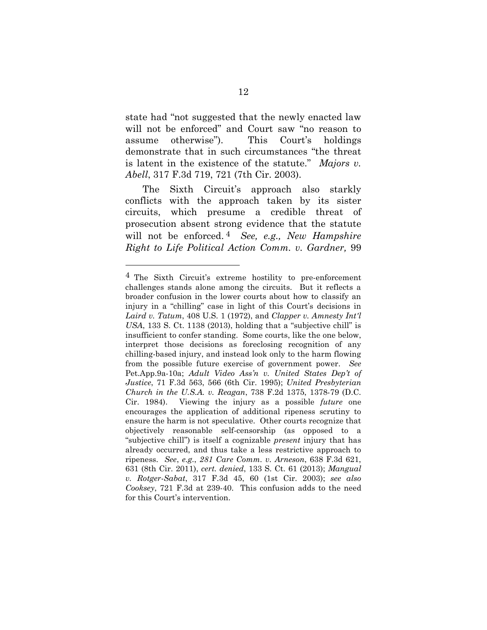state had "not suggested that the newly enacted law will not be enforced" and Court saw "no reason to assume otherwise"). This Court's holdings demonstrate that in such circumstances "the threat is latent in the existence of the statute." *Majors v. Abell*, 317 F.3d 719, 721 (7th Cir. 2003).

The Sixth Circuit's approach also starkly conflicts with the approach taken by its sister circuits, which presume a credible threat of prosecution absent strong evidence that the statute will not be enforced. [4](#page-18-0) *See, e.g., New Hampshire Right to Life Political Action Comm. v. Gardner,* 99

 $\overline{a}$ 

<span id="page-18-0"></span><sup>4</sup> The Sixth Circuit's extreme hostility to pre-enforcement challenges stands alone among the circuits. But it reflects a broader confusion in the lower courts about how to classify an injury in a "chilling" case in light of this Court's decisions in *Laird v. Tatum*, 408 U.S. 1 (1972), and *Clapper v. Amnesty Int'l USA*, 133 S. Ct. 1138 (2013), holding that a "subjective chill" is insufficient to confer standing. Some courts, like the one below, interpret those decisions as foreclosing recognition of any chilling-based injury, and instead look only to the harm flowing from the possible future exercise of government power. *See*  Pet.App.9a-10a; *Adult Video Ass'n v. United States Dep't of Justice*, 71 F.3d 563, 566 (6th Cir. 1995); *United Presbyterian Church in the U.S.A. v. Reagan*, 738 F.2d 1375, 1378-79 (D.C. Cir. 1984). Viewing the injury as a possible *future* one encourages the application of additional ripeness scrutiny to ensure the harm is not speculative. Other courts recognize that objectively reasonable self-censorship (as opposed to a "subjective chill") is itself a cognizable *present* injury that has already occurred, and thus take a less restrictive approach to ripeness. *See*, *e.g.*, *281 Care Comm. v. Arneson*, 638 F.3d 621, 631 (8th Cir. 2011), *cert. denied*, 133 S. Ct. 61 (2013); *Mangual v. Rotger-Sabat*, 317 F.3d 45, 60 (1st Cir. 2003); *see also Cooksey*, 721 F.3d at 239-40. This confusion adds to the need for this Court's intervention.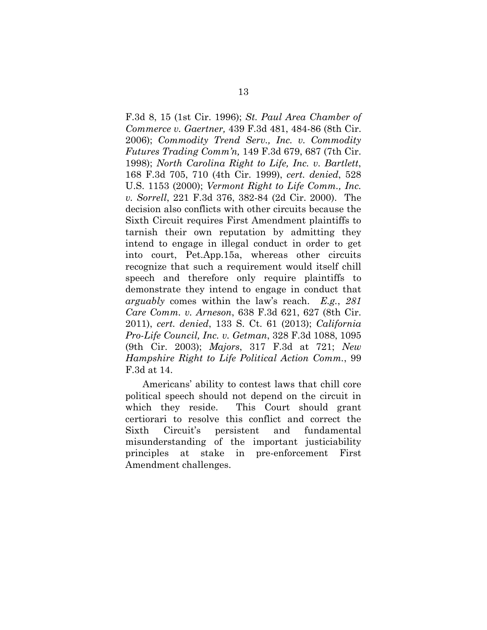F.3d 8, 15 (1st Cir. 1996); *St. Paul Area Chamber of Commerce v. Gaertner,* 439 F.3d 481, 484-86 (8th Cir. 2006); *Commodity Trend Serv., Inc. v. Commodity Futures Trading Comm'n,* 149 F.3d 679, 687 (7th Cir. 1998); *North Carolina Right to Life, Inc. v. Bartlett*, 168 F.3d 705, 710 (4th Cir. 1999), *cert. denied*, 528 U.S. 1153 (2000); *Vermont Right to Life Comm., Inc. v. Sorrell*, 221 F.3d 376, 382-84 (2d Cir. 2000). The decision also conflicts with other circuits because the Sixth Circuit requires First Amendment plaintiffs to tarnish their own reputation by admitting they intend to engage in illegal conduct in order to get into court, Pet.App.15a, whereas other circuits recognize that such a requirement would itself chill speech and therefore only require plaintiffs to demonstrate they intend to engage in conduct that *arguably* comes within the law's reach. *E.g.*, *281 Care Comm. v. Arneson*, 638 F.3d 621, 627 (8th Cir. 2011), *cert. denied*, 133 S. Ct. 61 (2013); *California Pro-Life Council, Inc. v. Getman*, 328 F.3d 1088, 1095 (9th Cir. 2003); *Majors*, 317 F.3d at 721; *New Hampshire Right to Life Political Action Comm.*, 99 F.3d at 14.

Americans' ability to contest laws that chill core political speech should not depend on the circuit in which they reside. This Court should grant certiorari to resolve this conflict and correct the Sixth Circuit's persistent and fundamental misunderstanding of the important justiciability principles at stake in pre-enforcement First Amendment challenges.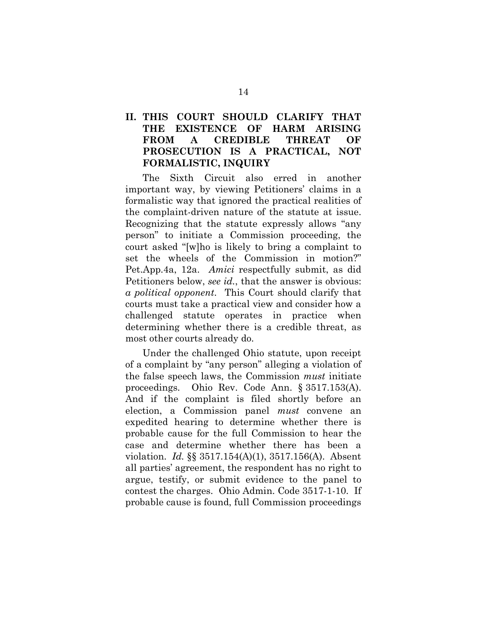#### <span id="page-20-0"></span>**II. THIS COURT SHOULD CLARIFY THAT THE EXISTENCE OF HARM ARISING FROM A CREDIBLE THREAT OF PROSECUTION IS A PRACTICAL, NOT FORMALISTIC, INQUIRY**

The Sixth Circuit also erred in another important way, by viewing Petitioners' claims in a formalistic way that ignored the practical realities of the complaint-driven nature of the statute at issue. Recognizing that the statute expressly allows "any person" to initiate a Commission proceeding, the court asked "[w]ho is likely to bring a complaint to set the wheels of the Commission in motion?" Pet.App.4a, 12a. *Amici* respectfully submit, as did Petitioners below, *see id.*, that the answer is obvious: *a political opponent*. This Court should clarify that courts must take a practical view and consider how a challenged statute operates in practice when determining whether there is a credible threat, as most other courts already do.

Under the challenged Ohio statute, upon receipt of a complaint by "any person" alleging a violation of the false speech laws, the Commission *must* initiate proceedings. Ohio Rev. Code Ann. § 3517.153(A). And if the complaint is filed shortly before an election, a Commission panel *must* convene an expedited hearing to determine whether there is probable cause for the full Commission to hear the case and determine whether there has been a violation. *Id.* §§ 3517.154(A)(1), 3517.156(A). Absent all parties' agreement, the respondent has no right to argue, testify, or submit evidence to the panel to contest the charges. Ohio Admin. Code 3517-1-10. If probable cause is found, full Commission proceedings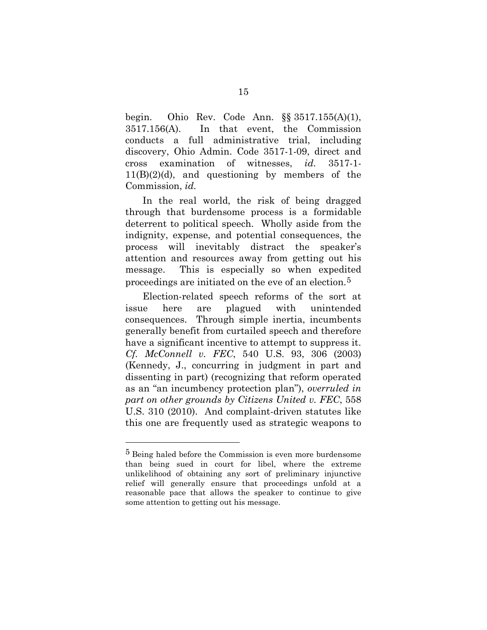begin. Ohio Rev. Code Ann. §§ 3517.155(A)(1), 3517.156(A). In that event, the Commission conducts a full administrative trial, including discovery, Ohio Admin. Code 3517-1-09, direct and cross examination of witnesses, *id.* 3517-1-  $11(B)(2)(d)$ , and questioning by members of the Commission, *id.* 

In the real world, the risk of being dragged through that burdensome process is a formidable deterrent to political speech. Wholly aside from the indignity, expense, and potential consequences, the process will inevitably distract the speaker's attention and resources away from getting out his message. This is especially so when expedited proceedings are initiated on the eve of an election.[5](#page-21-0)

Election-related speech reforms of the sort at issue here are plagued with unintended consequences. Through simple inertia, incumbents generally benefit from curtailed speech and therefore have a significant incentive to attempt to suppress it. *Cf. McConnell v. FEC*, 540 U.S. 93, 306 (2003) (Kennedy, J., concurring in judgment in part and dissenting in part) (recognizing that reform operated as an "an incumbency protection plan"), *overruled in part on other grounds by Citizens United v. FEC*, 558 U.S. 310 (2010). And complaint-driven statutes like this one are frequently used as strategic weapons to

 $\overline{a}$ 

<span id="page-21-0"></span><sup>5</sup> Being haled before the Commission is even more burdensome than being sued in court for libel, where the extreme unlikelihood of obtaining any sort of preliminary injunctive relief will generally ensure that proceedings unfold at a reasonable pace that allows the speaker to continue to give some attention to getting out his message.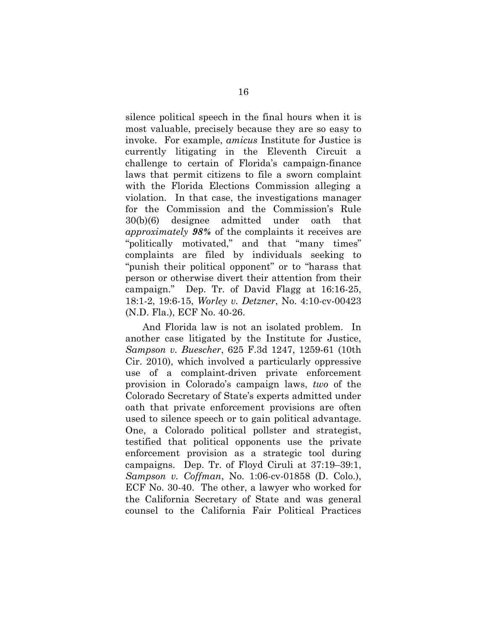silence political speech in the final hours when it is most valuable, precisely because they are so easy to invoke. For example, *amicus* Institute for Justice is currently litigating in the Eleventh Circuit a challenge to certain of Florida's campaign-finance laws that permit citizens to file a sworn complaint with the Florida Elections Commission alleging a violation. In that case, the investigations manager for the Commission and the Commission's Rule 30(b)(6) designee admitted under oath that *approximately 98%* of the complaints it receives are "politically motivated," and that "many times" complaints are filed by individuals seeking to "punish their political opponent" or to "harass that person or otherwise divert their attention from their campaign." Dep. Tr. of David Flagg at 16:16-25, 18:1-2, 19:6-15, *Worley v. Detzner*, No. 4:10-cv-00423 (N.D. Fla.), ECF No. 40-26.

And Florida law is not an isolated problem. In another case litigated by the Institute for Justice, *Sampson v. Buescher*, 625 F.3d 1247, 1259-61 (10th Cir. 2010), which involved a particularly oppressive use of a complaint-driven private enforcement provision in Colorado's campaign laws, *two* of the Colorado Secretary of State's experts admitted under oath that private enforcement provisions are often used to silence speech or to gain political advantage. One, a Colorado political pollster and strategist, testified that political opponents use the private enforcement provision as a strategic tool during campaigns. Dep. Tr. of Floyd Ciruli at 37:19–39:1, *Sampson v. Coffman*, No. 1:06-cv-01858 (D. Colo.), ECF No. 30-40. The other, a lawyer who worked for the California Secretary of State and was general counsel to the California Fair Political Practices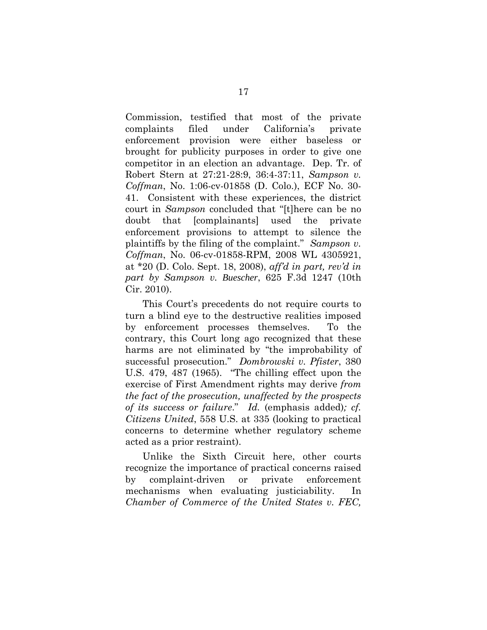Commission, testified that most of the private complaints filed under California's private enforcement provision were either baseless or brought for publicity purposes in order to give one competitor in an election an advantage. Dep. Tr. of Robert Stern at 27:21-28:9, 36:4-37:11, *Sampson v. Coffman*, No. 1:06-cv-01858 (D. Colo.), ECF No. 30- 41. Consistent with these experiences, the district court in *Sampson* concluded that "[t]here can be no doubt that [complainants] used the private enforcement provisions to attempt to silence the plaintiffs by the filing of the complaint." *Sampson v. Coffman*, No. 06-cv-01858-RPM, 2008 WL 4305921, at \*20 (D. Colo. Sept. 18, 2008), *aff'd in part, rev'd in part by Sampson v. Buescher*, 625 F.3d 1247 (10th Cir. 2010).

This Court's precedents do not require courts to turn a blind eye to the destructive realities imposed by enforcement processes themselves. To the contrary, this Court long ago recognized that these harms are not eliminated by "the improbability of successful prosecution." *Dombrowski v. Pfister*, 380 U.S. 479, 487 (1965). "The chilling effect upon the exercise of First Amendment rights may derive *from the fact of the prosecution, unaffected by the prospects of its success or failure*." *Id.* (emphasis added)*; cf. Citizens United*, 558 U.S. at 335 (looking to practical concerns to determine whether regulatory scheme acted as a prior restraint).

Unlike the Sixth Circuit here, other courts recognize the importance of practical concerns raised by complaint-driven or private enforcement mechanisms when evaluating justiciability. In *Chamber of Commerce of the United States v. FEC,*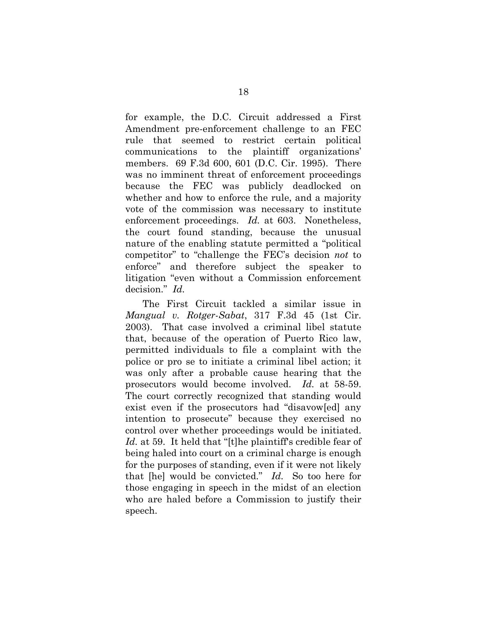for example, the D.C. Circuit addressed a First Amendment pre-enforcement challenge to an FEC rule that seemed to restrict certain political communications to the plaintiff organizations' members. 69 F.3d 600, 601 (D.C. Cir. 1995). There was no imminent threat of enforcement proceedings because the FEC was publicly deadlocked on whether and how to enforce the rule, and a majority vote of the commission was necessary to institute enforcement proceedings. *Id.* at 603. Nonetheless, the court found standing, because the unusual nature of the enabling statute permitted a "political competitor" to "challenge the FEC's decision *not* to enforce" and therefore subject the speaker to litigation "even without a Commission enforcement decision." *Id.*

The First Circuit tackled a similar issue in *Mangual v. Rotger-Sabat*, 317 F.3d 45 (1st Cir. 2003). That case involved a criminal libel statute that, because of the operation of Puerto Rico law, permitted individuals to file a complaint with the police or pro se to initiate a criminal libel action; it was only after a probable cause hearing that the prosecutors would become involved. *Id.* at 58-59. The court correctly recognized that standing would exist even if the prosecutors had "disavow[ed] any intention to prosecute" because they exercised no control over whether proceedings would be initiated. *Id.* at 59. It held that "[t]he plaintiff's credible fear of being haled into court on a criminal charge is enough for the purposes of standing, even if it were not likely that [he] would be convicted." *Id.* So too here for those engaging in speech in the midst of an election who are haled before a Commission to justify their speech.